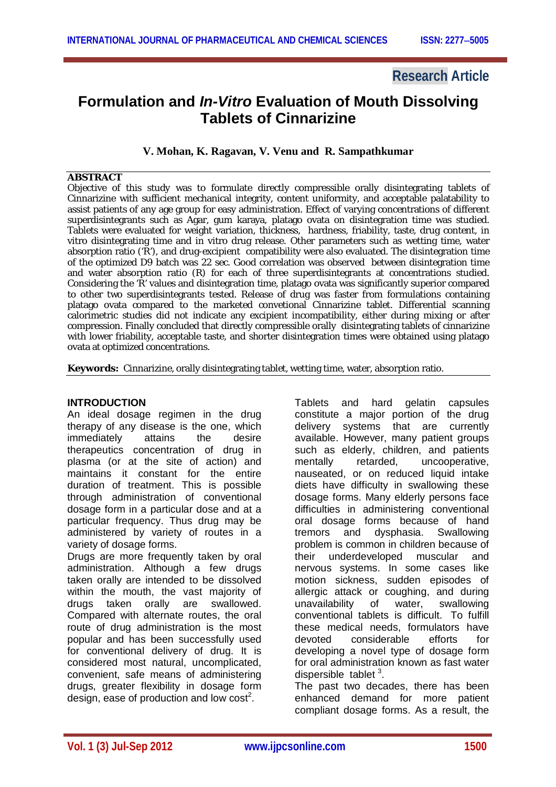## **Research Article**

# **Formulation and** *In-Vitro* **Evaluation of Mouth Dissolving Tablets of Cinnarizine**

## **V. Mohan, K. Ragavan, V. Venu and R. Sampathkumar**

## **ABSTRACT**

Objective of this study was to formulate directly compressible orally disintegrating tablets of Cinnarizine with sufficient mechanical integrity, content uniformity, and acceptable palatability to assist patients of any age group for easy administration. Effect of varying concentrations of different superdisintegrants such as Agar, gum karaya, platago ovata on disintegration time was studied. Tablets were evaluated for weight variation, thickness, hardness, friability, taste, drug content, in vitro disintegrating time and in vitro drug release. Other parameters such as wetting time, water absorption ratio ('R'), and drug-excipient compatibility were also evaluated. The disintegration time of the optimized D9 batch was 22 sec. Good correlation was observed between disintegration time and water absorption ratio (R) for each of three superdisintegrants at concentrations studied. Considering the 'R' values and disintegration time, platago ovata was significantly superior compared to other two superdisintegrants tested. Release of drug was faster from formulations containing platago ovata compared to the marketed convetional Cinnarizine tablet. Differential scanning calorimetric studies did not indicate any excipient incompatibility, either during mixing or after compression. Finally concluded that directly compressible orally disintegrating tablets of cinnarizine with lower friability, acceptable taste, and shorter disintegration times were obtained using platago ovata at optimized concentrations.

**Keywords:** Cinnarizine, orally disintegrating tablet, wetting time, water, absorption ratio.

## **INTRODUCTION**

An ideal dosage regimen in the drug therapy of any disease is the one, which immediately attains the desire therapeutics concentration of drug in plasma (or at the site of action) and maintains it constant for the entire duration of treatment. This is possible through administration of conventional dosage form in a particular dose and at a particular frequency. Thus drug may be administered by variety of routes in a variety of dosage forms.

Drugs are more frequently taken by oral administration. Although a few drugs taken orally are intended to be dissolved within the mouth, the vast majority of drugs taken orally are swallowed. Compared with alternate routes, the oral route of drug administration is the most popular and has been successfully used for conventional delivery of drug. It is considered most natural, uncomplicated, convenient, safe means of administering drugs, greater flexibility in dosage form design, ease of production and low  $cost^2$ .

Tablets and hard gelatin capsules constitute a major portion of the drug delivery systems that are currently available. However, many patient groups such as elderly, children, and patients mentally retarded, uncooperative, nauseated, or on reduced liquid intake diets have difficulty in swallowing these dosage forms. Many elderly persons face difficulties in administering conventional oral dosage forms because of hand tremors and dysphasia. Swallowing problem is common in children because of their underdeveloped muscular and nervous systems. In some cases like motion sickness, sudden episodes of allergic attack or coughing, and during unavailability of water, swallowing conventional tablets is difficult. To fulfill these medical needs, formulators have devoted considerable efforts for developing a novel type of dosage form for oral administration known as fast water dispersible tablet<sup>3</sup>.

The past two decades, there has been enhanced demand for more patient compliant dosage forms. As a result, the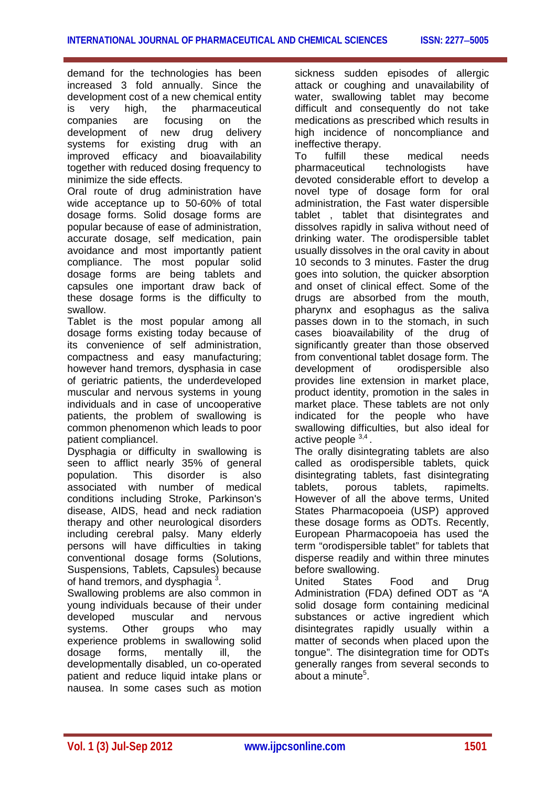demand for the technologies has been increased 3 fold annually. Since the development cost of a new chemical entity is very high, the pharmaceutical companies are focusing on the development of new drug delivery systems for existing drug with an improved efficacy and bioavailability together with reduced dosing frequency to minimize the side effects.

Oral route of drug administration have wide acceptance up to 50-60% of total dosage forms. Solid dosage forms are popular because of ease of administration, accurate dosage, self medication, pain avoidance and most importantly patient compliance. The most popular solid dosage forms are being tablets and capsules one important draw back of these dosage forms is the difficulty to swallow.

Tablet is the most popular among all dosage forms existing today because of its convenience of self administration, compactness and easy manufacturing; however hand tremors, dysphasia in case of geriatric patients, the underdeveloped muscular and nervous systems in young individuals and in case of uncooperative patients, the problem of swallowing is common phenomenon which leads to poor patient compliancel.

Dysphagia or difficulty in swallowing is seen to afflict nearly 35% of general population. This disorder is also associated with number of medical conditions including Stroke, Parkinson's disease, AIDS, head and neck radiation therapy and other neurological disorders including cerebral palsy. Many elderly persons will have difficulties in taking conventional dosage forms (Solutions, Suspensions, Tablets, Capsules) because of hand tremors, and dysphagia  $^3$ .

Swallowing problems are also common in young individuals because of their under developed muscular and nervous systems. Other groups who may experience problems in swallowing solid dosage forms, mentally ill, the developmentally disabled, un co-operated patient and reduce liquid intake plans or nausea. In some cases such as motion

sickness sudden episodes of allergic attack or coughing and unavailability of water, swallowing tablet may become difficult and consequently do not take medications as prescribed which results in high incidence of noncompliance and ineffective therapy.

To fulfill these medical needs pharmaceutical technologists have devoted considerable effort to develop a novel type of dosage form for oral administration, the Fast water dispersible tablet , tablet that disintegrates and dissolves rapidly in saliva without need of drinking water. The orodispersible tablet usually dissolves in the oral cavity in about 10 seconds to 3 minutes. Faster the drug goes into solution, the quicker absorption and onset of clinical effect. Some of the drugs are absorbed from the mouth, pharynx and esophagus as the saliva passes down in to the stomach, in such cases bioavailability of the drug of significantly greater than those observed from conventional tablet dosage form. The development of orodispersible also provides line extension in market place, product identity, promotion in the sales in market place. These tablets are not only indicated for the people who have swallowing difficulties, but also ideal for active people 3,4.

The orally disintegrating tablets are also called as orodispersible tablets, quick disintegrating tablets, fast disintegrating tablets, porous tablets, rapimelts. However of all the above terms, United States Pharmacopoeia (USP) approved these dosage forms as ODTs. Recently, European Pharmacopoeia has used the term "orodispersible tablet" for tablets that disperse readily and within three minutes before swallowing.

United States Food and Drug Administration (FDA) defined ODT as "A solid dosage form containing medicinal substances or active ingredient which disintegrates rapidly usually within a matter of seconds when placed upon the tongue". The disintegration time for ODTs generally ranges from several seconds to about a minute<sup>5</sup>.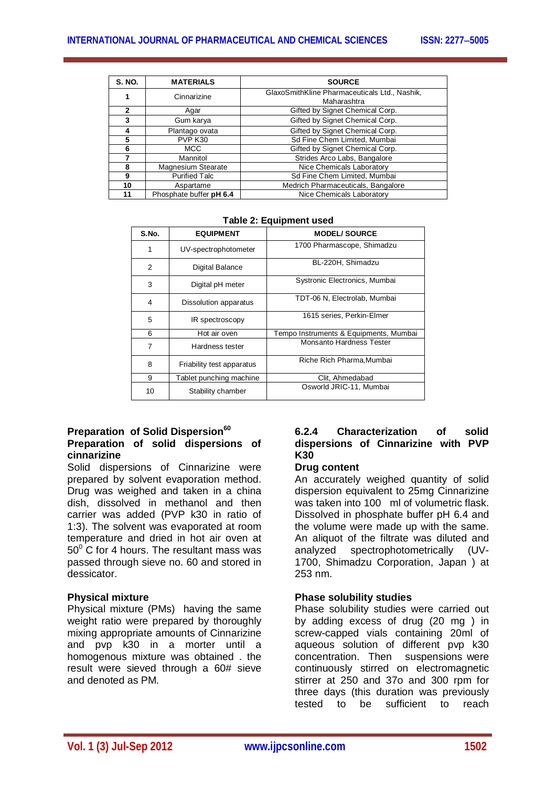| <b>S. NO.</b>  | <b>MATERIALS</b>        | <b>SOURCE</b>                                 |
|----------------|-------------------------|-----------------------------------------------|
|                | Cinnarizine             | GlaxoSmithKline Pharmaceuticals Ltd., Nashik, |
|                |                         | Maharashtra                                   |
| $\overline{2}$ | Agar                    | Gifted by Signet Chemical Corp.               |
| 3              | Gum karya               | Gifted by Signet Chemical Corp.               |
|                | Plantago ovata          | Gifted by Signet Chemical Corp.               |
| 5              | PVP K30                 | Sd Fine Chem Limited, Mumbai                  |
| 6              | <b>MCC</b>              | Gifted by Signet Chemical Corp.               |
|                | Mannitol                | Strides Arco Labs, Bangalore                  |
| 8              | Magnesium Stearate      | Nice Chemicals Laboratory                     |
| 9              | <b>Purified Talc</b>    | Sd Fine Chem Limited, Mumbai                  |
| 10             | Aspartame               | Medrich Pharmaceuticals, Bangalore            |
| 11             | Phosphate buffer pH 6.4 | Nice Chemicals Laboratory                     |

| S.No. | <b>EQUIPMENT</b>          | <b>MODEL/SOURCE</b>                    |
|-------|---------------------------|----------------------------------------|
| 1     | UV-spectrophotometer      | 1700 Pharmascope, Shimadzu             |
| 2     | Digital Balance           | BL-220H, Shimadzu                      |
| 3     | Digital pH meter          | Systronic Electronics, Mumbai          |
| 4     | Dissolution apparatus     | TDT-06 N, Electrolab, Mumbai           |
| 5     | IR spectroscopy           | 1615 series, Perkin-Elmer              |
| 6     | Hot air oven              | Tempo Instruments & Equipments, Mumbai |
| 7     | Hardness tester           | Monsanto Hardness Tester               |
| 8     | Friability test apparatus | Riche Rich Pharma, Mumbai              |
| 9     | Tablet punching machine   | Clit, Ahmedabad                        |
| 10    | Stability chamber         | Osworld JRIC-11, Mumbai                |

**Table 2: Equipment used**

## **Preparation of Solid Dispersion<sup>60</sup> Preparation of solid dispersions of cinnarizine**

Solid dispersions of Cinnarizine were prepared by solvent evaporation method. Drug was weighed and taken in a china dish, dissolved in methanol and then carrier was added (PVP k30 in ratio of 1:3). The solvent was evaporated at room temperature and dried in hot air oven at  $50^{\circ}$  C for 4 hours. The resultant mass was passed through sieve no. 60 and stored in dessicator.

## **Physical mixture**

Physical mixture (PMs) having the same weight ratio were prepared by thoroughly mixing appropriate amounts of Cinnarizine and pvp k30 in a morter until a homogenous mixture was obtained . the result were sieved through a 60# sieve and denoted as PM.

## **6.2.4 Characterization of solid dispersions of Cinnarizine with PVP K30**

## **Drug content**

An accurately weighed quantity of solid dispersion equivalent to 25mg Cinnarizine was taken into 100 ml of volumetric flask. Dissolved in phosphate buffer pH 6.4 and the volume were made up with the same. An aliquot of the filtrate was diluted and analyzed spectrophotometrically (UV-1700, Shimadzu Corporation, Japan ) at 253 nm.

## **Phase solubility studies**

Phase solubility studies were carried out by adding excess of drug (20 mg ) in screw-capped vials containing 20ml of aqueous solution of different pvp k30 concentration. Then suspensions were continuously stirred on electromagnetic stirrer at 250 and 37o and 300 rpm for three days (this duration was previously tested to be sufficient to reach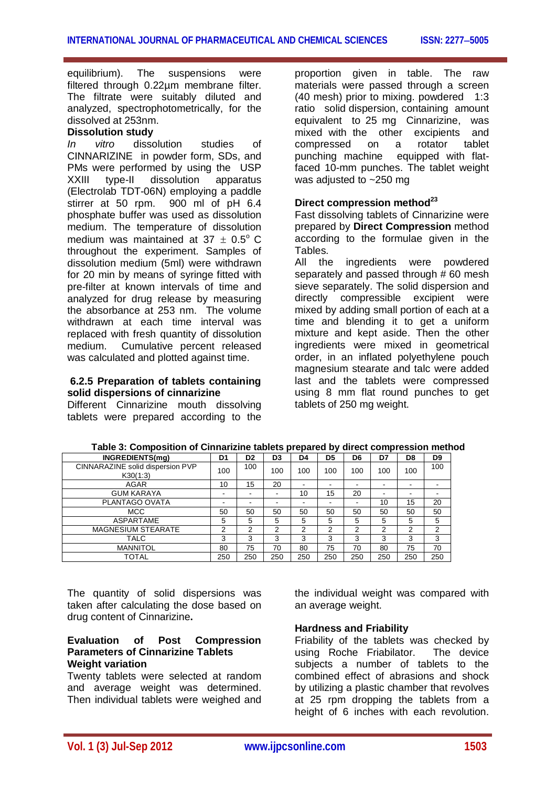equilibrium). The suspensions were filtered through 0.22µm membrane filter. The filtrate were suitably diluted and analyzed, spectrophotometrically, for the dissolved at 253nm.

## **Dissolution study**

*In vitro* dissolution studies of CINNARIZINE in powder form, SDs, and PMs were performed by using the USP XXIII type-II dissolution apparatus (Electrolab TDT-06N) employing a paddle stirrer at 50 rpm. 900 ml of pH 6.4 phosphate buffer was used as dissolution medium. The temperature of dissolution medium was maintained at  $37 \pm 0.5^{\circ}$  C throughout the experiment. Samples of dissolution medium (5ml) were withdrawn for 20 min by means of syringe fitted with pre-filter at known intervals of time and analyzed for drug release by measuring the absorbance at 253 nm. The volume withdrawn at each time interval was replaced with fresh quantity of dissolution medium. Cumulative percent released was calculated and plotted against time.

## **6.2.5 Preparation of tablets containing solid dispersions of cinnarizine**

Different Cinnarizine mouth dissolving tablets were prepared according to the

proportion given in table. The raw materials were passed through a screen (40 mesh) prior to mixing. powdered 1:3 ratio solid dispersion, containing amount equivalent to 25 mg Cinnarizine, was mixed with the other excipients and compressed on a rotator tablet punching machine equipped with flatfaced 10-mm punches. The tablet weight was adjusted to ~250 mg

## **Direct compression method<sup>23</sup>**

Fast dissolving tablets of Cinnarizine were prepared by **Direct Compression** method according to the formulae given in the Tables.<br>All the

ingredients were powdered separately and passed through # 60 mesh sieve separately. The solid dispersion and directly compressible excipient were mixed by adding small portion of each at a time and blending it to get a uniform mixture and kept aside. Then the other ingredients were mixed in geometrical order, in an inflated polyethylene pouch magnesium stearate and talc were added last and the tablets were compressed using 8 mm flat round punches to get tablets of 250 mg weight.

| INGREDIENTS(mg)                              | D <sub>1</sub> | D <sub>2</sub> | D <sub>3</sub> | D4  | D <sub>5</sub> | D6  | D7  | D8  | D <sub>9</sub> |
|----------------------------------------------|----------------|----------------|----------------|-----|----------------|-----|-----|-----|----------------|
| CINNARAZINE solid dispersion PVP<br>K30(1:3) | 100            | 100            | 100            | 100 | 100            | 100 | 100 | 100 | 100            |
| <b>AGAR</b>                                  | 10             | 15             | 20             |     |                |     |     |     |                |
| <b>GUM KARAYA</b>                            |                |                |                | 10  | 15             | 20  | -   |     |                |
| PLANTAGO OVATA                               |                |                |                |     |                |     | 10  | 15  | 20             |
| <b>MCC</b>                                   | 50             | 50             | 50             | 50  | 50             | 50  | 50  | 50  | 50             |
| ASPARTAME                                    | 5              | 5              | 5              | 5   | 5              | 5   | 5   | 5   | 5              |
| <b>MAGNESIUM STEARATE</b>                    | 2              | 2              | っ              | 2   | 2              | 2   | 2   | 2   | $\overline{2}$ |
| TALC                                         | 3              | 3              | 3              | 3   | 3              | 3   | 3   | 3   | 3              |
| <b>MANNITOL</b>                              | 80             | 75             | 70             | 80  | 75             | 70  | 80  | 75  | 70             |
| TOTAL                                        | 250            | 250            | 250            | 250 | 250            | 250 | 250 | 250 | 250            |

**Table 3: Composition of Cinnarizine tablets prepared by direct compression method**

The quantity of solid dispersions was taken after calculating the dose based on drug content of Cinnarizine**.**

## **Evaluation of Post Compression Parameters of Cinnarizine Tablets Weight variation**

Twenty tablets were selected at random and average weight was determined. Then individual tablets were weighed and

the individual weight was compared with an average weight.

## **Hardness and Friability**

Friability of the tablets was checked by using Roche Friabilator. The device subjects a number of tablets to the combined effect of abrasions and shock by utilizing a plastic chamber that revolves at 25 rpm dropping the tablets from a height of 6 inches with each revolution.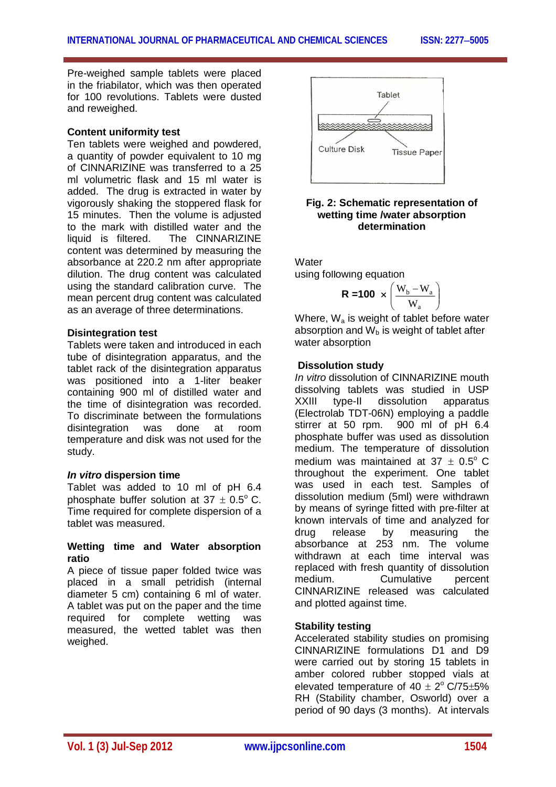Pre-weighed sample tablets were placed in the friabilator, which was then operated for 100 revolutions. Tablets were dusted and reweighed.

## **Content uniformity test**

Ten tablets were weighed and powdered, a quantity of powder equivalent to 10 mg of CINNARIZINE was transferred to a 25 ml volumetric flask and 15 ml water is added. The drug is extracted in water by vigorously shaking the stoppered flask for 15 minutes. Then the volume is adjusted to the mark with distilled water and the liquid is filtered. The CINNARIZINE content was determined by measuring the absorbance at 220.2 nm after appropriate dilution. The drug content was calculated using the standard calibration curve. The mean percent drug content was calculated as an average of three determinations.

## **Disintegration test**

Tablets were taken and introduced in each tube of disintegration apparatus, and the tablet rack of the disintegration apparatus was positioned into a 1-liter beaker containing 900 ml of distilled water and the time of disintegration was recorded. To discriminate between the formulations disintegration was done at room temperature and disk was not used for the study.

## *In vitro* **dispersion time**

Tablet was added to 10 ml of pH 6.4 phosphate buffer solution at  $37 \pm 0.5^{\circ}$  C. Time required for complete dispersion of a tablet was measured.

## **Wetting time and Water absorption ratio**

A piece of tissue paper folded twice was placed in a small petridish (internal diameter 5 cm) containing 6 ml of water. A tablet was put on the paper and the time required for complete wetting was measured, the wetted tablet was then weighed.



## **Fig. 2: Schematic representation of wetting time /water absorption determination**

Water

using following equation

$$
R = 100 \times \left(\frac{W_b - W_a}{W_a}\right)
$$

Where,  $W_a$  is weight of tablet before water absorption and  $W_b$  is weight of tablet after water absorption

## **Dissolution study**

*In vitro* dissolution of CINNARIZINE mouth dissolving tablets was studied in USP XXIII type-II dissolution apparatus (Electrolab TDT-06N) employing a paddle stirrer at 50 rpm. 900 ml of pH 6.4 phosphate buffer was used as dissolution medium. The temperature of dissolution medium was maintained at  $37 + 0.5^{\circ}$  C throughout the experiment. One tablet was used in each test. Samples of dissolution medium (5ml) were withdrawn by means of syringe fitted with pre-filter at known intervals of time and analyzed for drug release by measuring the absorbance at 253 nm. The volume withdrawn at each time interval was replaced with fresh quantity of dissolution medium. Cumulative percent CINNARIZINE released was calculated and plotted against time.

## **Stability testing**

Accelerated stability studies on promising CINNARIZINE formulations D1 and D9 were carried out by storing 15 tablets in amber colored rubber stopped vials at elevated temperature of  $40 \pm 2^{\circ}$  C/75 $\pm$ 5% RH (Stability chamber, Osworld) over a period of 90 days (3 months). At intervals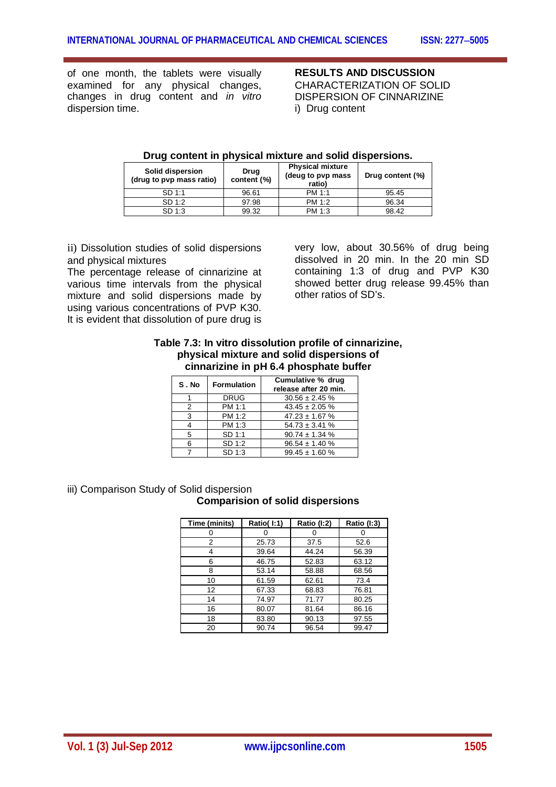of one month, the tablets were visually examined for any physical changes, changes in drug content and *in vitro* dispersion time.

**RESULTS AND DISCUSSION** CHARACTERIZATION OF SOLID DISPERSION OF CINNARIZINE i) Drug content

| Solid dispersion<br>(drug to pvp mass ratio) | Drug<br>content (%) | <b>Physical mixture</b><br>(deug to pvp mass<br>ratio) | Drug content (%) |
|----------------------------------------------|---------------------|--------------------------------------------------------|------------------|
| SD 1:1                                       | 96.61               | PM 1:1                                                 | 95.45            |
| SD 1:2                                       | 97.98               | PM 1:2                                                 | 96.34            |
| SD 1:3                                       | 99.32               | PM 1:3                                                 | 98.42            |

## **Drug content in physical mixture and solid dispersions.**

ii) Dissolution studies of solid dispersions and physical mixtures

The percentage release of cinnarizine at various time intervals from the physical mixture and solid dispersions made by using various concentrations of PVP K30. It is evident that dissolution of pure drug is

very low, about 30.56% of drug being dissolved in 20 min. In the 20 min SD containing 1:3 of drug and PVP K30 showed better drug release 99.45% than other ratios of SD's.

## **Table 7.3: In vitro dissolution profile of cinnarizine, physical mixture and solid dispersions of cinnarizine in pH 6.4 phosphate buffer**

| S.No | <b>Formulation</b> | Cumulative % drug<br>release after 20 min. |
|------|--------------------|--------------------------------------------|
|      | <b>DRUG</b>        | $30.56 \pm 2.45 \%$                        |
| 2    | PM 1:1             | $43.45 \pm 2.05 \%$                        |
| 3    | PM 1:2             | $47.23 \pm 1.67$ %                         |
|      | PM 1:3             | $54.73 \pm 3.41$ %                         |
| 5    | SD 1:1             | $90.74 \pm 1.34$ %                         |
| 6    | SD 1:2             | $96.54 \pm 1.40 \%$                        |
|      | SD 1:3             | $99.45 \pm 1.60$ %                         |

## iii) Comparison Study of Solid dispersion

## **Comparision of solid dispersions**

| Time (minits) | Ratio(I:1) | Ratio (I:2) | Ratio (I:3) |
|---------------|------------|-------------|-------------|
|               |            |             |             |
| 2             | 25.73      | 37.5        | 52.6        |
|               | 39.64      | 44.24       | 56.39       |
| 6             | 46.75      | 52.83       | 63.12       |
| 8             | 53.14      | 58.88       | 68.56       |
| 10            | 61.59      | 62.61       | 73.4        |
| 12            | 67.33      | 68.83       | 76.81       |
| 14            | 74.97      | 71.77       | 80.25       |
| 16            | 80.07      | 81.64       | 86.16       |
| 18            | 83.80      | 90.13       | 97.55       |
| 20            | 90.74      | 96.54       | 99.47       |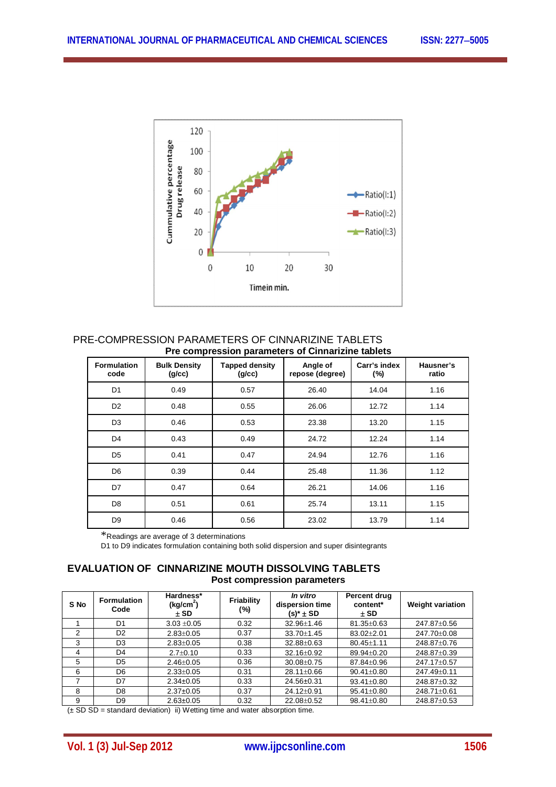

#### PRE-COMPRESSION PARAMETERS OF CINNARIZINE TABLETS **Pre compression parameters of Cinnarizine tablets**

| <b>Formulation</b><br>code | <b>Bulk Density</b><br>(g/cc) | <b>Tapped density</b><br>(g/cc) | Angle of<br>repose (degree) | Carr's index<br>(%) | Hausner's<br>ratio |
|----------------------------|-------------------------------|---------------------------------|-----------------------------|---------------------|--------------------|
| D <sub>1</sub>             | 0.49                          | 0.57                            | 26.40                       | 14.04               | 1.16               |
| D <sub>2</sub>             | 0.48                          | 0.55                            | 26.06                       | 12.72               | 1.14               |
| D <sub>3</sub>             | 0.46                          | 0.53                            | 23.38                       | 13.20               | 1.15               |
| D <sub>4</sub>             | 0.43                          | 0.49                            | 24.72                       | 12.24               | 1.14               |
| D <sub>5</sub>             | 0.41                          | 0.47                            | 24.94                       | 12.76               | 1.16               |
| D <sub>6</sub>             | 0.39                          | 0.44                            | 25.48                       | 11.36               | 1.12               |
| D7                         | 0.47                          | 0.64                            | 26.21                       | 14.06               | 1.16               |
| D <sub>8</sub>             | 0.51                          | 0.61                            | 25.74                       | 13.11               | 1.15               |
| D <sub>9</sub>             | 0.46                          | 0.56                            | 23.02                       | 13.79               | 1.14               |

\*Readings are average of 3 determinations

D1 to D9 indicates formulation containing both solid dispersion and super disintegrants

## **EVALUATION OF CINNARIZINE MOUTH DISSOLVING TABLETS Post compression parameters**

| S No | <b>Formulation</b><br>Code | Hardness*<br>(kg/cm <sup>2</sup> )<br>$±$ SD | Friability<br>(%) | In vitro<br>dispersion time<br>(s)* ± SD | Percent drug<br>content*<br>$±$ SD | <b>Weight variation</b> |
|------|----------------------------|----------------------------------------------|-------------------|------------------------------------------|------------------------------------|-------------------------|
|      | D <sub>1</sub>             | $3.03 + 0.05$                                | 0.32              | 32.96±1.46                               | $81.35 \pm 0.63$                   | 247.87 $\pm$ 0.56       |
| 2    | D <sub>2</sub>             | $2.83 \pm 0.05$                              | 0.37              | 33.70±1.45                               | $83.02 \pm 2.01$                   | 247.70±0.08             |
| 3    | D <sub>3</sub>             | $2.83 \pm 0.05$                              | 0.38              | $32.88 \pm 0.63$                         | $80.45 \pm 1.11$                   | 248.87±0.76             |
| 4    | D <sub>4</sub>             | $2.7 \pm 0.10$                               | 0.33              | $32.16 \pm 0.92$                         | 89.94±0.20                         | 248.87±0.39             |
| 5    | D <sub>5</sub>             | $2.46 \pm 0.05$                              | 0.36              | $30.08 \pm 0.75$                         | 87.84±0.96                         | 247.17±0.57             |
| 6    | D <sub>6</sub>             | $2.33 \pm 0.05$                              | 0.31              | 28.11±0.66                               | $90.41 \pm 0.80$                   | 247.49±0.11             |
| 7    | D7                         | $2.34 \pm 0.05$                              | 0.33              | 24.56±0.31                               | $93.41 \pm 0.80$                   | 248.87±0.32             |
| 8    | D8                         | $2.37 \pm 0.05$                              | 0.37              | 24.12±0.91                               | $95.41 \pm 0.80$                   | 248.71±0.61             |
| 9    | D <sub>9</sub>             | $2.63 \pm 0.05$                              | 0.32              | 22.08±0.52                               | $98.41 \pm 0.80$                   | 248.87±0.53             |

(± SD SD = standard deviation) ii) Wetting time and water absorption time.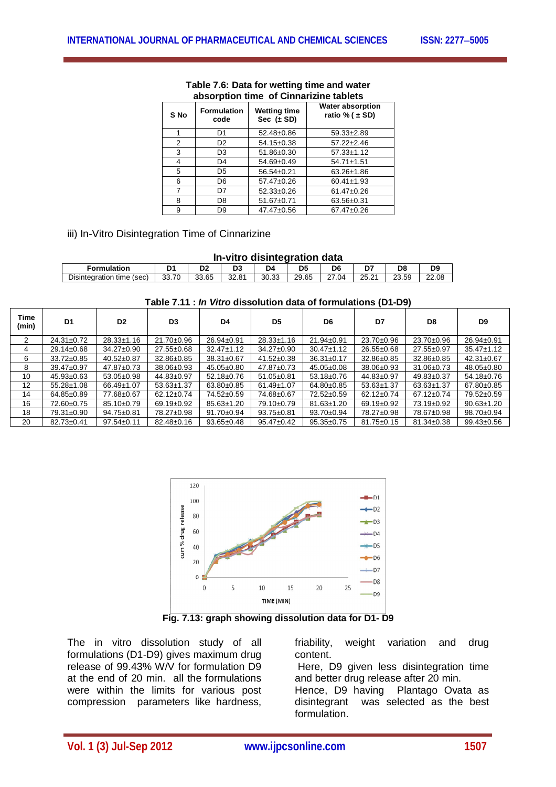| S No | <b>Formulation</b><br>code | Wetting time<br>Sec $(\pm SD)$ | <b>Water absorption</b><br>ratio % ( $\pm$ SD) |
|------|----------------------------|--------------------------------|------------------------------------------------|
|      | D1                         | 52.48±0.86                     | $59.33 \pm 2.89$                               |
| 2    | D <sub>2</sub>             | 54.15±0.38                     | $57.22 \pm 2.46$                               |
| 3    | D3                         | 51.86±0.30                     | $57.33 \pm 1.12$                               |
| 4    | D4                         | 54.69±0.49                     | $54.71 \pm 1.51$                               |
| 5    | D5                         | 56.54±0.21                     | 63.26±1.86                                     |
| 6    | D6                         | 57.47±0.26                     | $60.41 \pm 1.93$                               |
|      | D7                         | 52.33±0.26                     | 61.47±0.26                                     |
| 8    | D8                         | 51.67±0.71                     | 63.56±0.31                                     |
| 9    | D9                         | 47.47±0.56                     | 67.47±0.26                                     |

#### **Table 7.6: Data for wetting time and water absorption time of Cinnarizine tablets**

iii) In-Vitro Disintegration Time of Cinnarizine

| In-vitro disintegration data |  |  |
|------------------------------|--|--|
|                              |  |  |

| Formulation                                                       | ◡                     |       | ەد    | υ.          | Dθ                                                   | -                      | D٤              | DS    |
|-------------------------------------------------------------------|-----------------------|-------|-------|-------------|------------------------------------------------------|------------------------|-----------------|-------|
| 33.70<br>$\overline{\phantom{a}}$<br>time (sec)<br>Disintegration | 65<br>$\sim$<br>JJ.UJ | 32.81 | 30.33 | 29<br>29.65 | $\sim$<br><b>04</b><br><u>_ 1</u><br>$\cdot$ $\circ$ | າ⊏<br>$\sim$<br>ی کی ب | 23.59<br>$\sim$ | 22.08 |

| Table 7.11 : In Vitro dissolution data of formulations (D1-D9) |  |
|----------------------------------------------------------------|--|
|----------------------------------------------------------------|--|

| Time<br>(min) | D <sub>1</sub>   | D <sub>2</sub>   | D3               | D4               | D <sub>5</sub>   | D6               | D7               | D8               | D9               |
|---------------|------------------|------------------|------------------|------------------|------------------|------------------|------------------|------------------|------------------|
| 2             | $24.31 \pm 0.72$ | $28.33 \pm 1.16$ | $21.70 \pm 0.96$ | 26.94±0.91       | $28.33 \pm 1.16$ | $21.94 \pm 0.91$ | 23.70±0.96       | 23.70±0.96       | 26.94±0.91       |
| 4             | $29.14 \pm 0.68$ | $34.27 \pm 0.90$ | 27.55±0.68       | $32.47 \pm 1.12$ | $34.27 \pm 0.90$ | $30.47 \pm 1.12$ | 26.55±0.68       | 27.55±0.97       | $35.47 \pm 1.12$ |
| 6             | $33.72 \pm 0.85$ | $40.52 \pm 0.87$ | 32.86±0.85       | $38.31 \pm 0.67$ | $41.52 \pm 0.38$ | $36.31 \pm 0.17$ | 32.86±0.85       | 32.86±0.85       | $42.31 \pm 0.67$ |
| 8             | $39.47 \pm 0.97$ | $47.87 \pm 0.73$ | 38.06±0.93       | $45.05 \pm 0.80$ | $47.87 \pm 0.73$ | $45.05 \pm 0.08$ | 38.06±0.93       | $31.06 \pm 0.73$ | 48.05±0.80       |
| 10            | $45.93 \pm 0.63$ | $53.05 \pm 0.98$ | 44.83±0.97       | 52.18±0.76       | $51.05 \pm 0.81$ | $53.18 \pm 0.76$ | 44.83±0.97       | $49.83 \pm 0.37$ | 54.18±0.76       |
| 12            | $55.28 \pm 1.08$ | 66.49±1.07       | $53.63 \pm 1.37$ | $63.80 \pm 0.85$ | $61.49 \pm 1.07$ | 64.80±0.85       | $53.63 \pm 1.37$ | $63.63 \pm 1.37$ | 67.80±0.85       |
| 14            | 64.85±0.89       | 77.68±0.67       | $62.12 \pm 0.74$ | 74.52±0.59       | 74.68±0.67       | 72.52±0.59       | 62.12±0.74       | $67.12 \pm 0.74$ | 79.52±0.59       |
| 16            | 72.60±0.75       | 85.10±0.79       | 69.19±0.92       | 85.63±1.20       | 79.10±0.79       | $81.63 \pm 1.20$ | 69.19±0.92       | 73.19±0.92       | $90.63 \pm 1.20$ |
| 18            | 79.31±0.90       | $94.75 \pm 0.81$ | 78.27±0.98       | $91.70 \pm 0.94$ | $93.75 \pm 0.81$ | $93.70 \pm 0.94$ | 78.27±0.98       | 78.67±0.98       | 98.70±0.94       |
| 20            | $82.73 \pm 0.41$ | $97.54 \pm 0.11$ | $82.48 \pm 0.16$ | $93.65 \pm 0.48$ | $95.47 \pm 0.42$ | $95.35 \pm 0.75$ | $81.75 \pm 0.15$ | $81.34 \pm 0.38$ | $99.43 \pm 0.56$ |



**Fig. 7.13: graph showing dissolution data for D1- D9**

The in vitro dissolution study of all formulations (D1-D9) gives maximum drug release of 99.43% W/V for formulation D9 at the end of 20 min. all the formulations were within the limits for various post compression parameters like hardness,

friability, weight variation and drug content.

Here, D9 given less disintegration time and better drug release after 20 min.

Hence, D9 having Plantago Ovata as disintegrant was selected as the best formulation.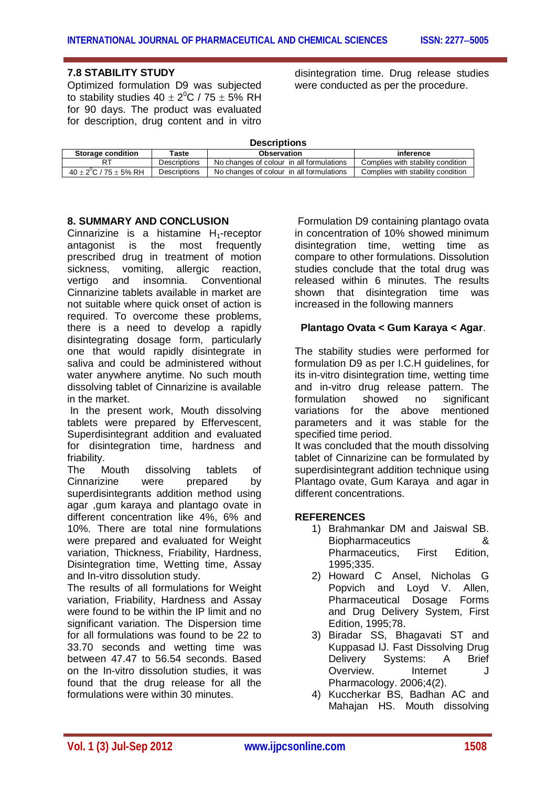## **7.8 STABILITY STUDY**

Optimized formulation D9 was subjected to stability studies 40  $\pm$  2 $^0$ C / 75  $\pm$  5% RH for 90 days. The product was evaluated for description, drug content and in vitro

disintegration time. Drug release studies were conducted as per the procedure.

| <b>Descriptions</b>               |                             |                                          |                                   |  |  |  |  |  |  |
|-----------------------------------|-----------------------------|------------------------------------------|-----------------------------------|--|--|--|--|--|--|
| <b>Storage condition</b>          | Taste<br><b>Observation</b> |                                          | inference                         |  |  |  |  |  |  |
|                                   | <b>Descriptions</b>         | No changes of colour in all formulations | Complies with stability condition |  |  |  |  |  |  |
| $40 \pm 2^{0}$ C / 75 $\pm$ 5% RH | <b>Descriptions</b>         | No changes of colour in all formulations | Complies with stability condition |  |  |  |  |  |  |

## **8. SUMMARY AND CONCLUSION**

Cinnarizine is a histamine  $H_1$ -receptor antagonist is the most frequently prescribed drug in treatment of motion sickness, vomiting, allergic reaction, vertigo and insomnia. Conventional Cinnarizine tablets available in market are not suitable where quick onset of action is required. To overcome these problems, there is a need to develop a rapidly disintegrating dosage form, particularly one that would rapidly disintegrate in saliva and could be administered without water anywhere anytime. No such mouth dissolving tablet of Cinnarizine is available in the market.

In the present work, Mouth dissolving tablets were prepared by Effervescent, Superdisintegrant addition and evaluated for disintegration time, hardness and friability.

The Mouth dissolving tablets of Cinnarizine were prepared by superdisintegrants addition method using agar ,gum karaya and plantago ovate in different concentration like 4%, 6% and 10%. There are total nine formulations were prepared and evaluated for Weight variation, Thickness, Friability, Hardness, Disintegration time, Wetting time, Assay and In-vitro dissolution study.

The results of all formulations for Weight variation, Friability, Hardness and Assay were found to be within the IP limit and no significant variation. The Dispersion time for all formulations was found to be 22 to 33.70 seconds and wetting time was between 47.47 to 56.54 seconds. Based on the In-vitro dissolution studies, it was found that the drug release for all the formulations were within 30 minutes.

Formulation D9 containing plantago ovata in concentration of 10% showed minimum disintegration time, wetting time as compare to other formulations. Dissolution studies conclude that the total drug was released within 6 minutes. The results shown that disintegration time was increased in the following manners

## **Plantago Ovata < Gum Karaya < Agar**.

The stability studies were performed for formulation D9 as per I.C.H guidelines, for its in-vitro disintegration time, wetting time and in-vitro drug release pattern. The formulation showed no significant variations for the above mentioned parameters and it was stable for the specified time period.

It was concluded that the mouth dissolving tablet of Cinnarizine can be formulated by superdisintegrant addition technique using Plantago ovate, Gum Karaya and agar in different concentrations.

## **REFERENCES**

- 1) Brahmankar DM and Jaiswal SB. Biopharmaceutics & Pharmaceutics, First Edition, 1995;335.
- 2) Howard C Ansel, Nicholas G Popvich and Loyd V. Allen, Pharmaceutical Dosage Forms and Drug Delivery System, First Edition, 1995;78.
- 3) Biradar SS, Bhagavati ST and Kuppasad IJ. Fast Dissolving Drug Delivery Systems: A Brief Overview. Internet J Pharmacology. 2006;4(2).
- 4) Kuccherkar BS, Badhan AC and Mahajan HS. Mouth dissolving